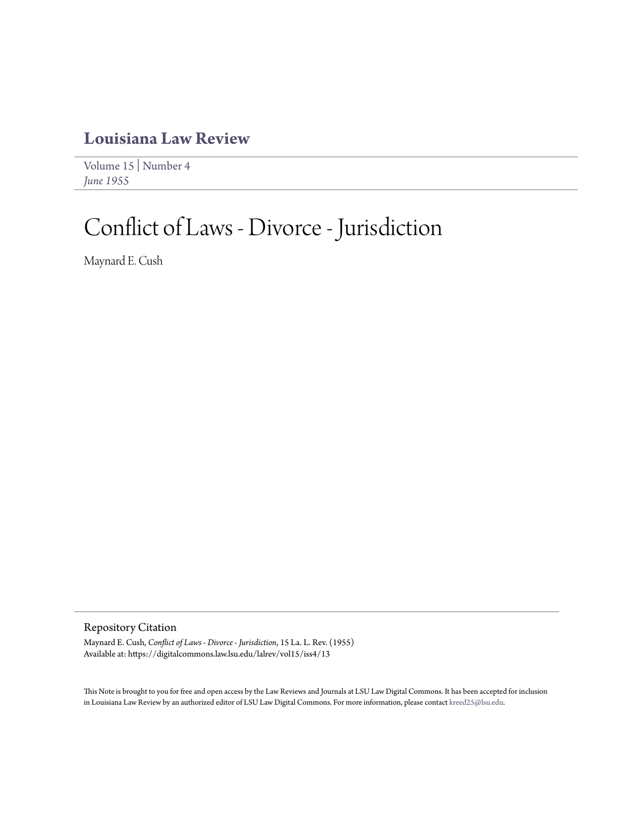## **[Louisiana Law Review](https://digitalcommons.law.lsu.edu/lalrev)**

[Volume 15](https://digitalcommons.law.lsu.edu/lalrev/vol15) | [Number 4](https://digitalcommons.law.lsu.edu/lalrev/vol15/iss4) *[June 1955](https://digitalcommons.law.lsu.edu/lalrev/vol15/iss4)*

# Conflict of Laws - Divorce - Jurisdiction

Maynard E. Cush

Repository Citation

Maynard E. Cush, *Conflict of Laws - Divorce - Jurisdiction*, 15 La. L. Rev. (1955) Available at: https://digitalcommons.law.lsu.edu/lalrev/vol15/iss4/13

This Note is brought to you for free and open access by the Law Reviews and Journals at LSU Law Digital Commons. It has been accepted for inclusion in Louisiana Law Review by an authorized editor of LSU Law Digital Commons. For more information, please contact [kreed25@lsu.edu](mailto:kreed25@lsu.edu).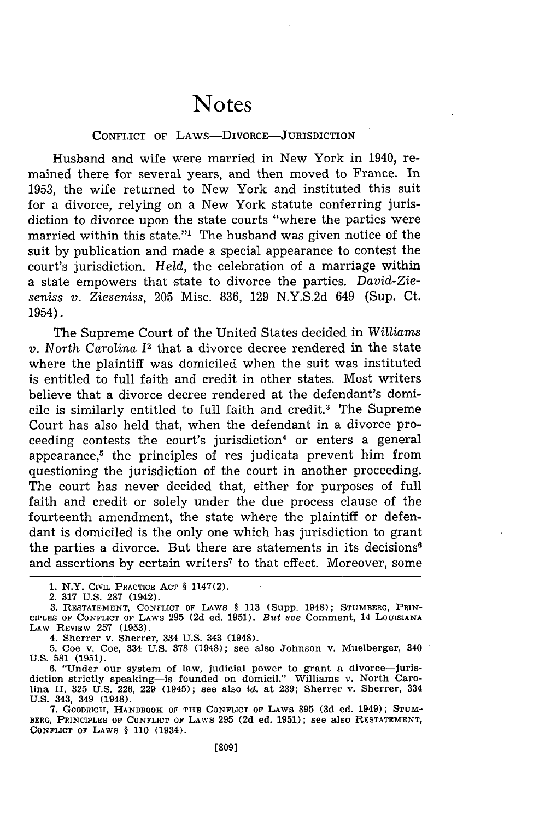## Notes

#### CONFLICT OF LAws-DIvORCE-JURISDICTION

Husband and wife were married in New York in 1940, remained there for several years, and then moved to France. In 1953, the wife returned to New York and instituted this suit for a divorce, relying on a New York statute conferring jurisdiction to divorce upon the state courts "where the parties were married within this state."<sup>1</sup> The husband was given notice of the suit by publication and made a special appearance to contest the court's jurisdiction. *Held,* the celebration of a marriage within a state empowers that state to divorce the parties. *David-Zieseniss v. Zieseniss,* 205 Misc. 836, 129 N.Y.S.2d 649 (Sup. Ct. 1954).

The Supreme Court of the United States decided in *Williams v.* North *Carolina* 12 that a divorce decree rendered in the state where the plaintiff was domiciled when the suit was instituted is entitled to full faith and credit in other states. Most writers believe that a divorce decree rendered at the defendant's domicile is similarly entitled to full faith and credit.<sup>3</sup> The Supreme Court has also held that, when the defendant in a divorce proceeding contests the court's jurisdiction<sup>4</sup> or enters a general appearance, $5$  the principles of res judicata prevent him from questioning the jurisdiction of the court in another proceeding. The court has never decided that, either for purposes of full faith and credit or solely under the due process clause of the fourteenth amendment, the state where the plaintiff or defendant is domiciled is the only one which has jurisdiction to grant the parties a divorce. But there are statements in its decisions<sup>6</sup> and assertions by certain writers<sup>7</sup> to that effect. Moreover, some

**1.** N.Y. CIVIL PRACTICE **ACT** § 1147(2).

2. 317 U.S. 287 (1942).

3. RESTATEMENT, **CONFLICT** OF LAWS § 113 (Supp. 1948); **STUMBERG,** PRIN-**CIPLES** OF **CONFLICT OF** LAWS **295** (2d ed. **1951).** *But* see Comment, 14 LOUISIANA LAW REVIEW 257 (1953).

4. Sherrer v. Sherrer, 334 U.S. 343 (1948).

5. Coe v. Coe, 334 U.S. 378 (1948); see also Johnson v. Muelberger, 340 U.S. **581** (1951).

6. "Under our system of law, judicial power to grant a divorce-jurisdiction strictly speaking-is founded on domicil." Williams v. North Caro-lina II, 325 U.S. 226, 229 (1945); see also id. at 239; Sherrer v. Sherrer, 334 U.S. 343, 349 (1948).

**7.** GOODRICH, HANDBOOK OF **THE CONFLICT** OF LAWS 395 (3d ed. 1949); STUM-BERG, PRINCIPLES **OF CONFLICT OF** LAWS 295 (2d ed. **1951);** see also **RESTATEMENT, CONFLICT OF LAWS** § **110** (1934).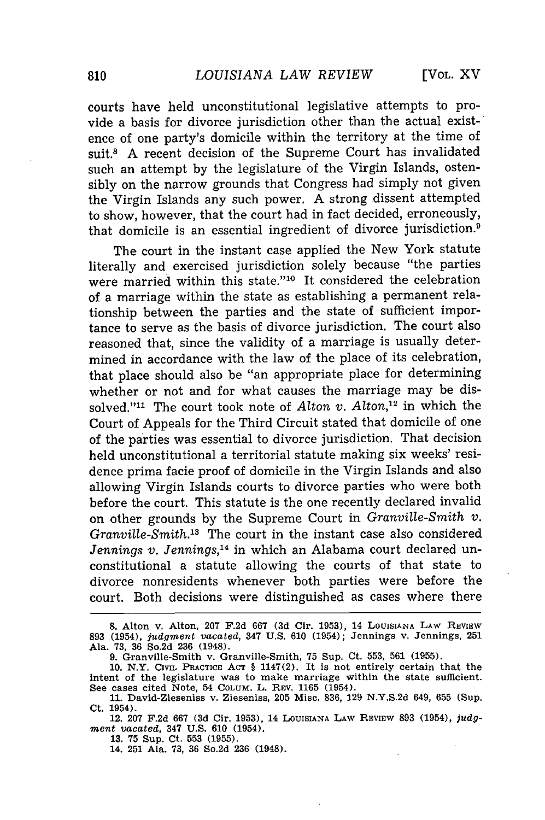[VOL. XV]

courts have held unconstitutional legislative attempts to provide a basis for divorce jurisdiction other than the actual existence of one party's domicile within the territory at the time of suit.8 A recent decision of the Supreme Court has invalidated such an attempt by the legislature of the Virgin Islands, ostensibly on the narrow grounds that Congress had simply not given the Virgin Islands any such power. A strong dissent attempted to show, however, that the court had in fact decided, erroneously, that domicile is an essential ingredient of divorce jurisdiction.9

The court in the instant case applied the New York statute literally and exercised jurisdiction solely because "the parties were married within this state."10 It considered the celebration of a marriage within the state as establishing a permanent relationship between the parties and the state of sufficient importance to serve as the basis of divorce jurisdiction. The court also reasoned that, since the validity of a marriage is usually determined in accordance with the law of the place of its celebration, that place should also be "an appropriate place for determining whether or not and for what causes the marriage may be dissolved."<sup>11</sup> The court took note of Alton *v*. Alton,<sup>12</sup> in which the Court of Appeals for the Third Circuit stated that domicile of one of the parties was essential to divorce jurisdiction. That decision held unconstitutional a territorial statute making six weeks' residence prima facie proof of domicile in the Virgin Islands and also allowing Virgin Islands courts to divorce parties who were both before the court. This statute is the one recently declared invalid on other grounds by the Supreme Court in *Granville-Smith v. Granville-Smith.*<sup>13</sup> The court in the instant case also considered *Jennings v. Jennings,14* in which an Alabama court declared unconstitutional a statute allowing the courts of that state to divorce nonresidents whenever both parties were before the court. Both decisions were distinguished as cases where there

**13. 75** Sup. Ct. **553 (1955).**

14. **251** Ala. **73, 36** So.2d **236** (1948).

**<sup>8.</sup>** Alton v. Alton, **207 F.2d 667 (3d Cir. 1953), 14 LOUISIANA LAW** REVIEW **893** (1954), *judgment vacated,* 347 **U.S. 610 (1954); Jennings** v. Jennings, **<sup>251</sup>** Ala. **73, 36** So.2d **236** (1948).

**<sup>9.</sup>** Granville-Smith v. Granville-Smith, **75** Sup. Ct. **553, 561 (1955). 10.** N.Y. **CIVIL** PRACTICE **ACT §** 1147(2). **It** is not entirely certain that **the**

intent of the legislature was to make marriage within the state sufficient. **See** cases cited Note, 54 COLUM. L. REV. **1165** (1954).

**<sup>11.</sup>** David-Zieseniss v. Zieseniss, **205** Misc. **836, 129 N.Y.S.2d** 649, **655** (Sup. **Ct.** 1954).

**<sup>12. 207</sup> F.2d 667 (3d** Cir. **1953), 14** LOUISIANA **LAW** REVIEW **893** (1954), *judgment vacated,* 347 **U.S. 610** (1954).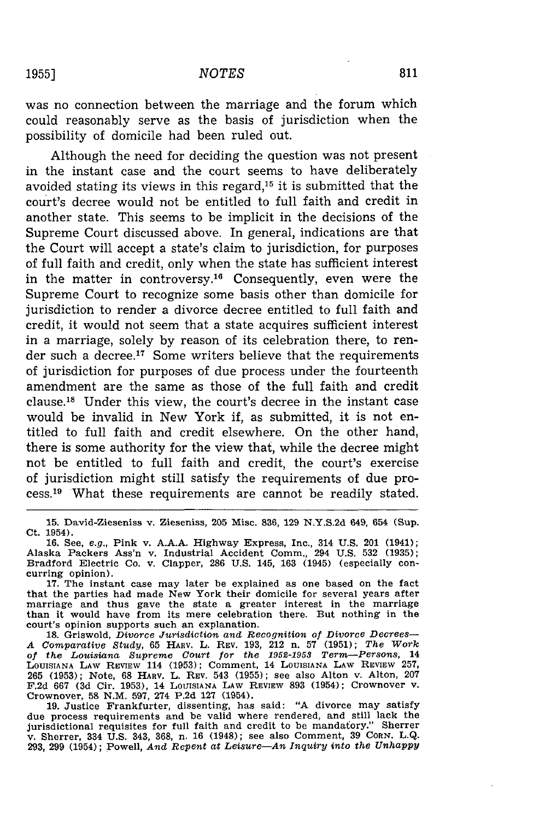was no connection between the marriage and the forum which could reasonably serve as the basis of jurisdiction when the possibility of domicile had been ruled out.

Although the need for deciding the question was not present in the instant case and the court seems to have deliberately avoided stating its views in this regard,<sup>15</sup> it is submitted that the court's decree would not be entitled to full faith and credit in another state. This seems to be implicit in the decisions of the Supreme Court discussed above. In general, indications are that the Court will accept a state's claim to jurisdiction, for purposes of full faith and credit, only when the state has sufficient interest in the matter in controversy.<sup>16</sup> Consequently, even were the Supreme Court to recognize some basis other than domicile for jurisdiction to render a divorce decree entitled to full faith and credit, it would not seem that a state acquires sufficient interest in a marriage, solely by reason of its celebration there, to render such a decree.<sup>17</sup> Some writers believe that the requirements of jurisdiction for purposes of due process under the fourteenth amendment are the same as those of the full faith and credit clause.<sup>18</sup> Under this view, the court's decree in the instant case would be invalid in New York if, as submitted, it is not entitled to full faith and credit elsewhere. On the other hand, there is some authority for the view that, while the decree might not be entitled to full faith and credit, the court's exercise of jurisdiction might still satisfy the requirements of due process.19 What these requirements are cannot be readily stated.

15. David-Zieseniss v. Zieseniss, 205 Misc. 836, 129 N.Y.S.2d 649, 654 (Sup. Ct. 1954).

16. See, *e.g.,* Pink v. A.A.A. Highway Express, Inc., 314 U.S. 201 (1941); Alaska Packers Ass'n v. Industrial Accident Comm., 294 U.S. 532 (1935); Bradford Electric Co. v. Clapper, 286 U.S. 145, 163 (1945) (especially concurring opinion).<br>
17. The instant case may later be explained as one based on the fact

that the parties had made New York their domicile for several years after marriage and thus gave the state a greater interest in the marriage than it would have from its mere celebration there. But nothing in the court's opinion supports such an explanation.

18. Griswold, *Divorce Jurisdiction and Recognition of Divorce Decrees-*A Comparative Study, 65 HARV. L. REV. 193, 212 n. 57 (1951); The Work<br>of the Louisiana Supreme Court for the 1952-1953 Term—Persons, 14<br>LOUISIANA LAW REVIEW 114 (1953); Comment, 14 LOUISIANA LAW REVIEW 257, 265 (1953); Note, 68 HARV. L. REV. 543 (1955); see also Alton v. Alton, 207 F.2d 667 (3d Cir. 1953), 14 LOUISIANA LAW REVIEW 893 (1954); Crownover v. Crownover, 58 N.M. 597, 274 P.2d 127 (1954).

19. Justice Frankfurter, dissenting, has said: "A divorce may satisfy due process requirements and be valid where rendered, and still lack the jurisdictional requisites for full faith and credit to be mandatory." Sherre v. Sherrer, 334 U.S. 343, 368, n. 16 (1948); see also Comment, 39 **CORN.** L.Q. 293, **299** (1954); Powell, *And Repent at Leisure-An Inquiry into the Unhappy*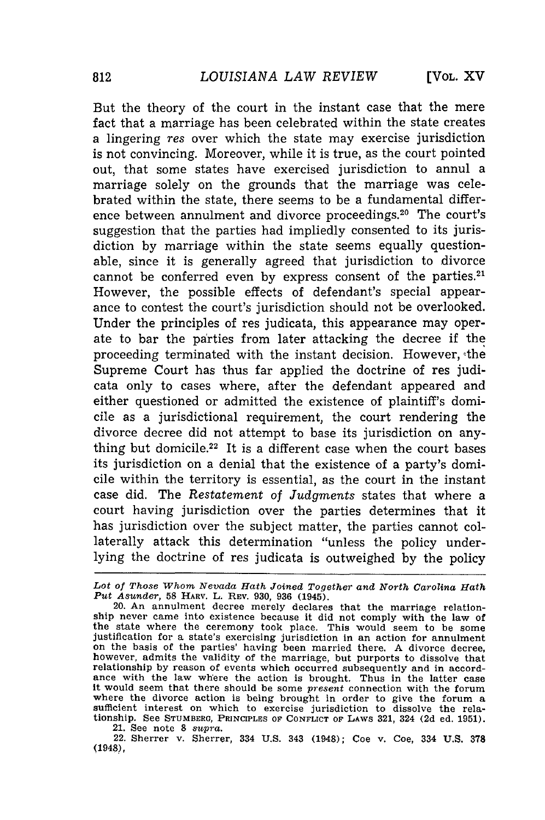But the theory of the court in the instant case that the mere fact that a marriage has been celebrated within the state creates a lingering res over which the state may exercise jurisdiction is not convincing. Moreover, while it is true, as the court pointed out, that some states have exercised jurisdiction to annul a marriage solely on the grounds that the marriage was celebrated within the state, there seems to be a fundamental difference between annulment and divorce proceedings.<sup>20</sup> The court's suggestion that the parties had impliedly consented to its jurisdiction by marriage within the state seems equally questionable, since it is generally agreed that jurisdiction to divorce cannot be conferred even by express consent of the parties.<sup>21</sup> However, the possible effects of defendant's special appearance to contest the court's jurisdiction should not be overlooked. Under the principles of res judicata, this appearance may operate to bar the parties from later attacking the decree if the proceeding terminated with the instant decision. However, 'the Supreme Court has thus far applied the doctrine of res judicata only to cases where, after the defendant appeared and either questioned or admitted the existence of plaintiff's domicile as a jurisdictional requirement, the court rendering the divorce decree did not attempt to base its jurisdiction on anything but domicile.<sup>22</sup> It is a different case when the court bases its jurisdiction on a denial that the existence of a party's domicile within the territory is essential, as the court in the instant case did. The *Restatement of Judgments* states that where a court having jurisdiction over the parties determines that it has jurisdiction over the subject matter, the parties cannot collaterally attack this determination "unless the policy underlying the doctrine of res judicata is outweighed by the policy

21. See note 8 *supra.*

22. Sherrer v. Sherrer, 334 U.S. 343 (1948); Coe v. Coe, 334 U.S. 378 (1948),

*Lot of Those Whom Nevada Hath Joined Together and North Carolina Hath Put Asunder,* 58 HARV. L. REv. **930, 936** (1945).

<sup>20.</sup> An annulment decree merely declares that the marriage relationship never came into existence because it did not comply with the law of the state where the ceremony took place. This would seem to be some justification for a state's exercising jurisdiction in an action for annulment on the basis of the parties' having been married there. A divorce decree, however, admits the validity of the marriage, but purports to dissolve that relationship by reason of events which occurred subsequently and in accordance with the law where the action is brought. Thus in the latter case It would seem that there should be some *present* connection with the forum where the divorce action is being brought in order to give the forum a sufficient interest on which to exercise jurisdiction to dissolve the relationship. See **STUMBERG,** PRINCIPLES **OF** CONFLICT OF LAWS 321, 324 **(2d** ed. 1951).